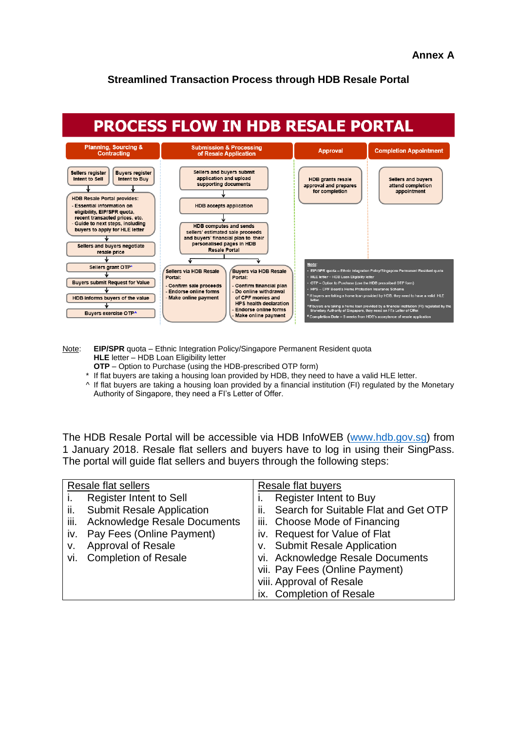### **Streamlined Transaction Process through HDB Resale Portal**



Note: **EIP/SPR** quota – Ethnic Integration Policy/Singapore Permanent Resident quota **HLE** letter – HDB Loan Eligibility letter

- **OTP** Option to Purchase (using the HDB-prescribed OTP form)
- \* If flat buyers are taking a housing loan provided by HDB, they need to have a valid HLE letter.
- ^ If flat buyers are taking a housing loan provided by a financial institution (FI) regulated by the Monetary Authority of Singapore, they need a FI's Letter of Offer.

The HDB Resale Portal will be accessible via HDB InfoWEB [\(www.hdb.gov.sg\)](http://www.hdb.gov.sg/) from 1 January 2018. Resale flat sellers and buyers have to log in using their SingPass. The portal will guide flat sellers and buyers through the following steps:

| Resale flat sellers |                                     | <b>Resale flat buyers</b>                  |
|---------------------|-------------------------------------|--------------------------------------------|
|                     | <b>Register Intent to Sell</b>      | <b>Register Intent to Buy</b>              |
| ii.                 | <b>Submit Resale Application</b>    | Search for Suitable Flat and Get OTP<br>Ш. |
| iii.                | <b>Acknowledge Resale Documents</b> | iii. Choose Mode of Financing              |
| İV.                 | Pay Fees (Online Payment)           | iv. Request for Value of Flat              |
| v.                  | Approval of Resale                  | v. Submit Resale Application               |
| Vİ.                 | <b>Completion of Resale</b>         | vi. Acknowledge Resale Documents           |
|                     |                                     | vii. Pay Fees (Online Payment)             |
|                     |                                     | viii. Approval of Resale                   |
|                     |                                     | ix. Completion of Resale                   |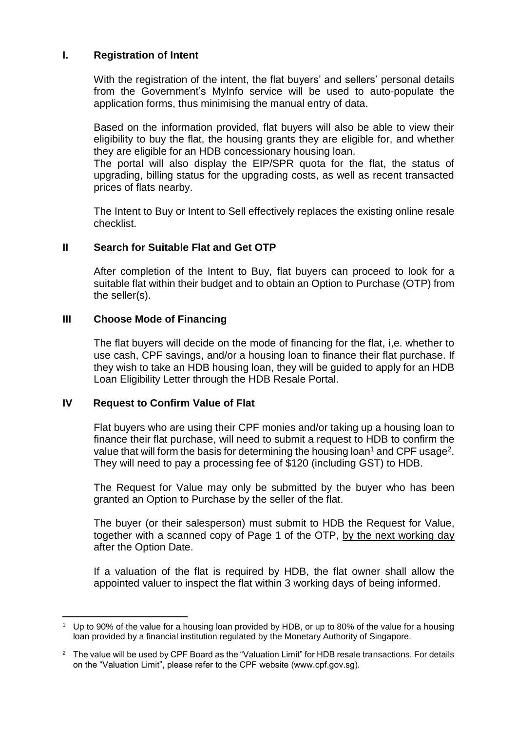# **I. Registration of Intent**

With the registration of the intent, the flat buyers' and sellers' personal details from the Government's MyInfo service will be used to auto-populate the application forms, thus minimising the manual entry of data.

Based on the information provided, flat buyers will also be able to view their eligibility to buy the flat, the housing grants they are eligible for, and whether they are eligible for an HDB concessionary housing loan.

The portal will also display the EIP/SPR quota for the flat, the status of upgrading, billing status for the upgrading costs, as well as recent transacted prices of flats nearby.

The Intent to Buy or Intent to Sell effectively replaces the existing online resale checklist.

# **II Search for Suitable Flat and Get OTP**

After completion of the Intent to Buy, flat buyers can proceed to look for a suitable flat within their budget and to obtain an Option to Purchase (OTP) from the seller(s).

## **III Choose Mode of Financing**

The flat buyers will decide on the mode of financing for the flat, i,e. whether to use cash, CPF savings, and/or a housing loan to finance their flat purchase. If they wish to take an HDB housing loan, they will be guided to apply for an HDB Loan Eligibility Letter through the HDB Resale Portal.

### **IV Request to Confirm Value of Flat**

 $\overline{a}$ 

Flat buyers who are using their CPF monies and/or taking up a housing loan to finance their flat purchase, will need to submit a request to HDB to confirm the value that will form the basis for determining the housing loan<sup>1</sup> and CPF usage<sup>2</sup>. They will need to pay a processing fee of \$120 (including GST) to HDB.

The Request for Value may only be submitted by the buyer who has been granted an Option to Purchase by the seller of the flat.

The buyer (or their salesperson) must submit to HDB the Request for Value, together with a scanned copy of Page 1 of the OTP, by the next working day after the Option Date.

If a valuation of the flat is required by HDB, the flat owner shall allow the appointed valuer to inspect the flat within 3 working days of being informed.

<sup>1</sup> Up to 90% of the value for a housing loan provided by HDB, or up to 80% of the value for a housing loan provided by a financial institution regulated by the Monetary Authority of Singapore.

 $2\text{ }$  The value will be used by CPF Board as the "Valuation Limit" for HDB resale transactions. For details on the "Valuation Limit", please refer to the CPF website (www.cpf.gov.sg).